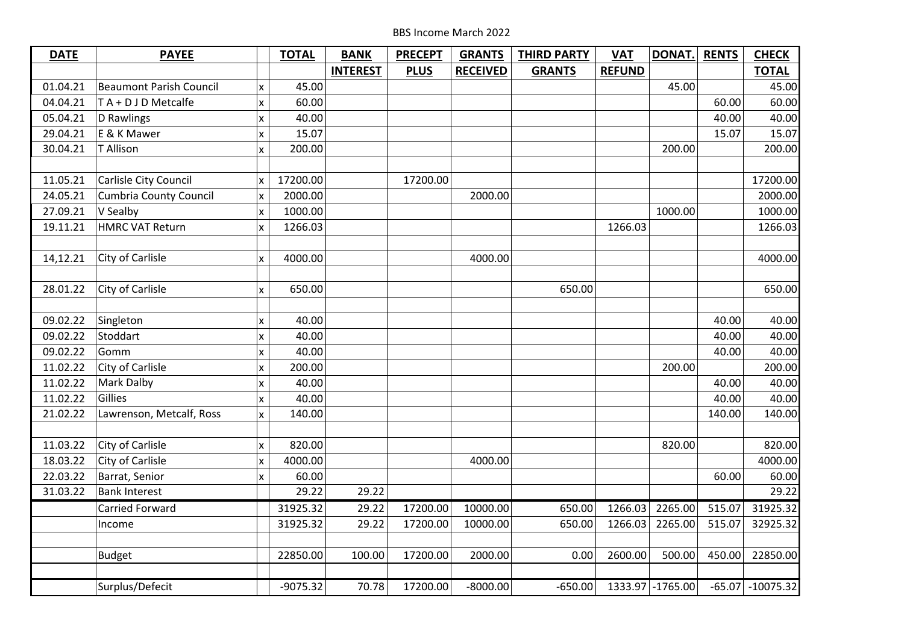| <b>DATE</b> | <b>PAYEE</b>                   |                    | <b>TOTAL</b> | <b>BANK</b>     | <b>PRECEPT</b> | <b>GRANTS</b>   | <b>THIRD PARTY</b> | <b>VAT</b>    | DONAT.            | <b>RENTS</b> | <b>CHECK</b>         |
|-------------|--------------------------------|--------------------|--------------|-----------------|----------------|-----------------|--------------------|---------------|-------------------|--------------|----------------------|
|             |                                |                    |              | <b>INTEREST</b> | <b>PLUS</b>    | <b>RECEIVED</b> | <b>GRANTS</b>      | <b>REFUND</b> |                   |              | <b>TOTAL</b>         |
| 01.04.21    | <b>Beaumont Parish Council</b> | x                  | 45.00        |                 |                |                 |                    |               | 45.00             |              | 45.00                |
| 04.04.21    | TA + D J D Metcalfe            | X                  | 60.00        |                 |                |                 |                    |               |                   | 60.00        | 60.00                |
| 05.04.21    | D Rawlings                     | X                  | 40.00        |                 |                |                 |                    |               |                   | 40.00        | 40.00                |
| 29.04.21    | E & K Mawer                    | $\pmb{\mathsf{X}}$ | 15.07        |                 |                |                 |                    |               |                   | 15.07        | 15.07                |
| 30.04.21    | T Allison                      | $\mathsf{x}$       | 200.00       |                 |                |                 |                    |               | 200.00            |              | 200.00               |
|             |                                |                    |              |                 |                |                 |                    |               |                   |              |                      |
| 11.05.21    | Carlisle City Council          | x                  | 17200.00     |                 | 17200.00       |                 |                    |               |                   |              | 17200.00             |
| 24.05.21    | <b>Cumbria County Council</b>  | $\pmb{\mathsf{X}}$ | 2000.00      |                 |                | 2000.00         |                    |               |                   |              | 2000.00              |
| 27.09.21    | V Sealby                       | x                  | 1000.00      |                 |                |                 |                    |               | 1000.00           |              | 1000.00              |
| 19.11.21    | <b>HMRC VAT Return</b>         | X                  | 1266.03      |                 |                |                 |                    | 1266.03       |                   |              | 1266.03              |
|             |                                |                    |              |                 |                |                 |                    |               |                   |              |                      |
| 14,12.21    | City of Carlisle               | $\pmb{\mathsf{x}}$ | 4000.00      |                 |                | 4000.00         |                    |               |                   |              | 4000.00              |
|             |                                |                    |              |                 |                |                 |                    |               |                   |              |                      |
| 28.01.22    | City of Carlisle               | X                  | 650.00       |                 |                |                 | 650.00             |               |                   |              | 650.00               |
|             |                                |                    |              |                 |                |                 |                    |               |                   |              |                      |
| 09.02.22    | Singleton                      | X                  | 40.00        |                 |                |                 |                    |               |                   | 40.00        | 40.00                |
| 09.02.22    | Stoddart                       | $\mathsf{x}$       | 40.00        |                 |                |                 |                    |               |                   | 40.00        | 40.00                |
| 09.02.22    | Gomm                           | $\pmb{\mathsf{X}}$ | 40.00        |                 |                |                 |                    |               |                   | 40.00        | 40.00                |
| 11.02.22    | City of Carlisle               | lx.                | 200.00       |                 |                |                 |                    |               | 200.00            |              | 200.00               |
| 11.02.22    | Mark Dalby                     | x                  | 40.00        |                 |                |                 |                    |               |                   | 40.00        | 40.00                |
| 11.02.22    | Gillies                        | x                  | 40.00        |                 |                |                 |                    |               |                   | 40.00        | 40.00                |
| 21.02.22    | Lawrenson, Metcalf, Ross       | $\mathsf{x}$       | 140.00       |                 |                |                 |                    |               |                   | 140.00       | 140.00               |
|             |                                |                    |              |                 |                |                 |                    |               |                   |              |                      |
| 11.03.22    | City of Carlisle               | x                  | 820.00       |                 |                |                 |                    |               | 820.00            |              | 820.00               |
| 18.03.22    | City of Carlisle               | $\pmb{\mathsf{x}}$ | 4000.00      |                 |                | 4000.00         |                    |               |                   |              | 4000.00              |
| 22.03.22    | Barrat, Senior                 | $\mathsf{x}$       | 60.00        |                 |                |                 |                    |               |                   | 60.00        | 60.00                |
| 31.03.22    | <b>Bank Interest</b>           |                    | 29.22        | 29.22           |                |                 |                    |               |                   |              | 29.22                |
|             | Carried Forward                |                    | 31925.32     | 29.22           | 17200.00       | 10000.00        | 650.00             | 1266.03       | 2265.00           | 515.07       | 31925.32             |
|             | Income                         |                    | 31925.32     | 29.22           | 17200.00       | 10000.00        | 650.00             | 1266.03       | 2265.00           | 515.07       | 32925.32             |
|             |                                |                    |              |                 |                |                 |                    |               |                   |              |                      |
|             | <b>Budget</b>                  |                    | 22850.00     | 100.00          | 17200.00       | 2000.00         | 0.00               | 2600.00       | 500.00            | 450.00       | 22850.00             |
|             |                                |                    |              |                 |                |                 |                    |               |                   |              |                      |
|             | Surplus/Defecit                |                    | $-9075.32$   | 70.78           | 17200.00       | $-8000.00$      | $-650.00$          |               | 1333.97 - 1765.00 |              | $-65.07$ $-10075.32$ |